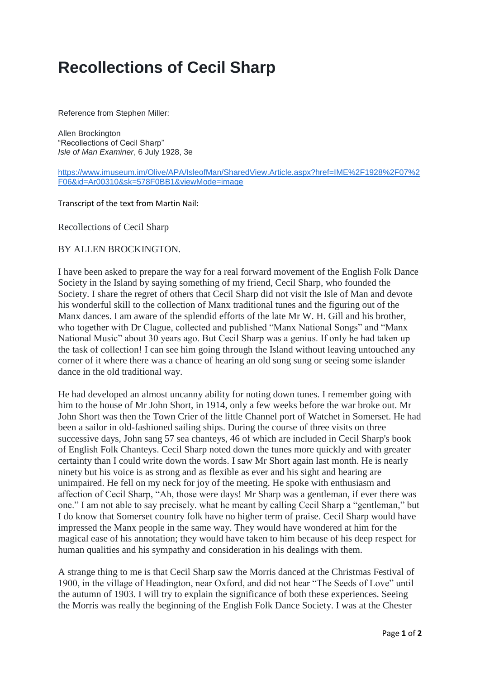## **Recollections of Cecil Sharp**

Reference from Stephen Miller:

Allen Brockington "Recollections of Cecil Sharp" *Isle of Man Examiner*, 6 July 1928, 3e

[https://www.imuseum.im/Olive/APA/IsleofMan/SharedView.Article.aspx?href=IME%2F1928%2F07%2](https://www.imuseum.im/Olive/APA/IsleofMan/SharedView.Article.aspx?href=IME%2F1928%2F07%2F06&id=Ar00310&sk=578F0BB1&viewMode=image) [F06&id=Ar00310&sk=578F0BB1&viewMode=image](https://www.imuseum.im/Olive/APA/IsleofMan/SharedView.Article.aspx?href=IME%2F1928%2F07%2F06&id=Ar00310&sk=578F0BB1&viewMode=image)

Transcript of the text from Martin Nail:

Recollections of Cecil Sharp

BY ALLEN BROCKINGTON.

I have been asked to prepare the way for a real forward movement of the English Folk Dance Society in the Island by saying something of my friend, Cecil Sharp, who founded the Society. I share the regret of others that Cecil Sharp did not visit the Isle of Man and devote his wonderful skill to the collection of Manx traditional tunes and the figuring out of the Manx dances. I am aware of the splendid efforts of the late Mr W. H. Gill and his brother, who together with Dr Clague, collected and published "Manx National Songs" and "Manx National Music" about 30 years ago. But Cecil Sharp was a genius. If only he had taken up the task of collection! I can see him going through the Island without leaving untouched any corner of it where there was a chance of hearing an old song sung or seeing some islander dance in the old traditional way.

He had developed an almost uncanny ability for noting down tunes. I remember going with him to the house of Mr John Short, in 1914, only a few weeks before the war broke out. Mr John Short was then the Town Crier of the little Channel port of Watchet in Somerset. He had been a sailor in old-fashioned sailing ships. During the course of three visits on three successive days, John sang 57 sea chanteys, 46 of which are included in Cecil Sharp's book of English Folk Chanteys. Cecil Sharp noted down the tunes more quickly and with greater certainty than I could write down the words. I saw Mr Short again last month. He is nearly ninety but his voice is as strong and as flexible as ever and his sight and hearing are unimpaired. He fell on my neck for joy of the meeting. He spoke with enthusiasm and affection of Cecil Sharp, "Ah, those were days! Mr Sharp was a gentleman, if ever there was one." I am not able to say precisely. what he meant by calling Cecil Sharp a "gentleman," but I do know that Somerset country folk have no higher term of praise. Cecil Sharp would have impressed the Manx people in the same way. They would have wondered at him for the magical ease of his annotation; they would have taken to him because of his deep respect for human qualities and his sympathy and consideration in his dealings with them.

A strange thing to me is that Cecil Sharp saw the Morris danced at the Christmas Festival of 1900, in the village of Headington, near Oxford, and did not hear "The Seeds of Love" until the autumn of 1903. I will try to explain the significance of both these experiences. Seeing the Morris was really the beginning of the English Folk Dance Society. I was at the Chester